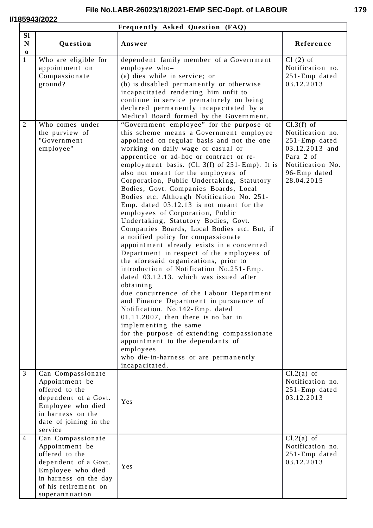# **I/185943/2022**

|                                      | Frequently Asked Question (FAQ)                                                                                                                                       |                                                                                                                                                                                                                                                                                                                                                                                                                                                                                                                                                                                                                                                                                                                                                                                                                                                                                                                                                                                                                                                                                                                                                                                                                                                                 |                                                                                                                                       |  |
|--------------------------------------|-----------------------------------------------------------------------------------------------------------------------------------------------------------------------|-----------------------------------------------------------------------------------------------------------------------------------------------------------------------------------------------------------------------------------------------------------------------------------------------------------------------------------------------------------------------------------------------------------------------------------------------------------------------------------------------------------------------------------------------------------------------------------------------------------------------------------------------------------------------------------------------------------------------------------------------------------------------------------------------------------------------------------------------------------------------------------------------------------------------------------------------------------------------------------------------------------------------------------------------------------------------------------------------------------------------------------------------------------------------------------------------------------------------------------------------------------------|---------------------------------------------------------------------------------------------------------------------------------------|--|
| <b>SI</b><br>$\mathbf N$<br>$\bf{0}$ | Question                                                                                                                                                              | Answer                                                                                                                                                                                                                                                                                                                                                                                                                                                                                                                                                                                                                                                                                                                                                                                                                                                                                                                                                                                                                                                                                                                                                                                                                                                          | Reference                                                                                                                             |  |
| $\mathbf{1}$                         | Who are eligible for<br>appointment on<br>Compassionate<br>ground?                                                                                                    | dependent family member of a Government<br>employee who-<br>(a) dies while in service; or<br>(b) is disabled permanently or otherwise<br>incapacitated rendering him unfit to<br>continue in service prematurely on being<br>declared permanently incapacitated by a<br>Medical Board formed by the Government.                                                                                                                                                                                                                                                                                                                                                                                                                                                                                                                                                                                                                                                                                                                                                                                                                                                                                                                                                 | $Cl(2)$ of<br>Notification no.<br>251-Emp dated<br>03.12.2013                                                                         |  |
| $\overline{2}$                       | Who comes under<br>the purview of<br>"Government<br>employee"                                                                                                         | "Government employee" for the purpose of<br>this scheme means a Government employee<br>appointed on regular basis and not the one<br>working on daily wage or casual or<br>apprentice or ad-hoc or contract or re-<br>employment basis. (Cl. $3(f)$ of $251$ -Emp). It is<br>also not meant for the employees of<br>Corporation, Public Undertaking, Statutory<br>Bodies, Govt. Companies Boards, Local<br>Bodies etc. Although Notification No. 251-<br>Emp. dated 03.12.13 is not meant for the<br>employees of Corporation, Public<br>Undertaking, Statutory Bodies, Govt.<br>Companies Boards, Local Bodies etc. But, if<br>a notified policy for compassionate<br>appointment already exists in a concerned<br>Department in respect of the employees of<br>the aforesaid organizations, prior to<br>introduction of Notification No.251-Emp.<br>dated 03.12.13, which was issued after<br>obtaining<br>due concurrence of the Labour Department<br>and Finance Department in pursuance of<br>Notification. No.142-Emp. dated<br>$01.11.2007$ , then there is no bar in<br>implementing the same<br>for the purpose of extending compassionate<br>appointment to the dependants of<br>employees<br>who die-in-harness or are permanently<br>incapacitated. | $Cl.3(f)$ of<br>Notification no.<br>$251$ -Emp dated<br>03.12.2013 and<br>Para 2 of<br>Notification No.<br>96-Emp dated<br>28.04.2015 |  |
| $\overline{3}$                       | Can Compassionate<br>Appointment be<br>offered to the<br>dependent of a Govt.<br>Employee who died<br>in harness on the<br>date of joining in the<br>service          | Yes                                                                                                                                                                                                                                                                                                                                                                                                                                                                                                                                                                                                                                                                                                                                                                                                                                                                                                                                                                                                                                                                                                                                                                                                                                                             | $Cl.2(a)$ of<br>Notification no.<br>251-Emp dated<br>03.12.2013                                                                       |  |
| $\overline{4}$                       | Can Compassionate<br>Appointment be<br>offered to the<br>dependent of a Govt.<br>Employee who died<br>in harness on the day<br>of his retirement on<br>superannuation | Yes                                                                                                                                                                                                                                                                                                                                                                                                                                                                                                                                                                                                                                                                                                                                                                                                                                                                                                                                                                                                                                                                                                                                                                                                                                                             | $Cl.2(a)$ of<br>Notification no.<br>251-Emp dated<br>03.12.2013                                                                       |  |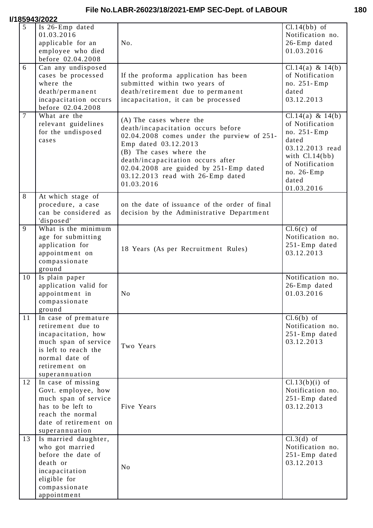#### *<u>I/</u>*

|                | 185943/2022                                                                                                                                                           |                                                                                                                                                                                                                                                                                                  |                                                                                                                                                            |
|----------------|-----------------------------------------------------------------------------------------------------------------------------------------------------------------------|--------------------------------------------------------------------------------------------------------------------------------------------------------------------------------------------------------------------------------------------------------------------------------------------------|------------------------------------------------------------------------------------------------------------------------------------------------------------|
| $5^{\circ}$    | Is 26-Emp dated<br>01.03.2016<br>applicable for an<br>employee who died<br>before 02.04.2008                                                                          | No.                                                                                                                                                                                                                                                                                              | $Cl.14(bb)$ of<br>Notification no.<br>26-Emp dated<br>01.03.2016                                                                                           |
| 6              | Can any undisposed<br>cases be processed<br>where the<br>death/permanent<br>incapacitation occurs<br>before 02.04.2008                                                | If the proforma application has been<br>submitted within two years of<br>death/retirement due to permanent<br>incapacitation, it can be processed                                                                                                                                                | Cl. $14(a)$ & $14(b)$<br>of Notification<br>no. 251-Emp<br>dated<br>03.12.2013                                                                             |
| $\overline{7}$ | What are the<br>relevant guidelines<br>for the undisposed<br>cases                                                                                                    | (A) The cases where the<br>death/incapacitation occurs before<br>02.04.2008 comes under the purview of 251-<br>Emp dated 03.12.2013<br>(B) The cases where the<br>death/incapacitation occurs after<br>02.04.2008 are guided by 251-Emp dated<br>03.12.2013 read with 26-Emp dated<br>01.03.2016 | Cl.14(a) & 14(b)<br>of Notification<br>no. 251-Emp<br>dated<br>03.12.2013 read<br>with $Cl.14(bb)$<br>of Notification<br>no. 26-Emp<br>dated<br>01.03.2016 |
| 8              | At which stage of<br>procedure, a case<br>can be considered as<br>'disposed'                                                                                          | on the date of issuance of the order of final<br>decision by the Administrative Department                                                                                                                                                                                                       |                                                                                                                                                            |
| 9              | What is the minimum<br>age for submitting<br>application for<br>appointment on<br>compassionate<br>ground                                                             | 18 Years (As per Recruitment Rules)                                                                                                                                                                                                                                                              | $Cl.6(c)$ of<br>Notification no.<br>251-Emp dated<br>03.12.2013                                                                                            |
| 10             | Is plain paper<br>application valid for<br>appointment in<br>compassionate<br>ground                                                                                  | N <sub>0</sub>                                                                                                                                                                                                                                                                                   | Notification no.<br>26-Emp dated<br>01.03.2016                                                                                                             |
| 11             | In case of premature<br>retirement due to<br>incapacitation, how<br>much span of service<br>is left to reach the<br>normal date of<br>retirement on<br>superannuation | Two Years                                                                                                                                                                                                                                                                                        | $Cl.6(b)$ of<br>Notification no.<br>251-Emp dated<br>03.12.2013                                                                                            |
| 12             | In case of missing<br>Govt. employee, how<br>much span of service<br>has to be left to<br>reach the normal<br>date of retirement on<br>superannuation                 | Five Years                                                                                                                                                                                                                                                                                       | $Cl.13(b)(i)$ of<br>Notification no.<br>251-Emp dated<br>03.12.2013                                                                                        |
| 13             | Is married daughter,<br>who got married<br>before the date of<br>death or<br>incapacitation<br>eligible for<br>compassionate<br>appointment                           | N <sub>0</sub>                                                                                                                                                                                                                                                                                   | $Cl.3(d)$ of<br>Notification no.<br>251-Emp dated<br>03.12.2013                                                                                            |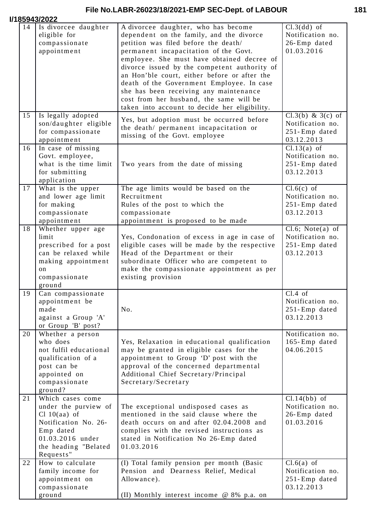| I/185943/2022 |  |
|---------------|--|
|               |  |

|    | 85943/2022                                                                                                                                               |                                                                                                                                                                                                                                                                                                                                                                                                                                                                                                   |                                                                           |
|----|----------------------------------------------------------------------------------------------------------------------------------------------------------|---------------------------------------------------------------------------------------------------------------------------------------------------------------------------------------------------------------------------------------------------------------------------------------------------------------------------------------------------------------------------------------------------------------------------------------------------------------------------------------------------|---------------------------------------------------------------------------|
| 14 | Is divorcee daughter<br>eligible for<br>compassionate<br>appointment                                                                                     | A divorcee daughter, who has become<br>dependent on the family, and the divorce<br>petition was filed before the death/<br>permanent incapacitation of the Govt.<br>employee. She must have obtained decree of<br>divorce issued by the competent authority of<br>an Hon'ble court, either before or after the<br>death of the Government Employee. In case<br>she has been receiving any maintenance<br>cost from her husband, the same will be<br>taken into account to decide her eligibility. | $Cl.3(dd)$ of<br>Notification no.<br>26-Emp dated<br>01.03.2016           |
| 15 | Is legally adopted<br>son/daughter eligible<br>for compassionate<br>appointment                                                                          | Yes, but adoption must be occurred before<br>the death/ permanent incapacitation or<br>missing of the Govt. employee                                                                                                                                                                                                                                                                                                                                                                              | $Cl.3(b) \& 3(c)$ of<br>Notification no.<br>251-Emp dated<br>03.12.2013   |
| 16 | In case of missing<br>Govt. employee,<br>what is the time limit<br>for submitting<br>application                                                         | Two years from the date of missing                                                                                                                                                                                                                                                                                                                                                                                                                                                                | $Cl.13(a)$ of<br>Notification no.<br>251-Emp dated<br>03.12.2013          |
| 17 | What is the upper<br>and lower age limit<br>for making<br>compassionate<br>appointment                                                                   | The age limits would be based on the<br>Recruitment<br>Rules of the post to which the<br>compassionate<br>appointment is proposed to be made                                                                                                                                                                                                                                                                                                                                                      | $Cl.6(c)$ of<br>Notification no.<br>251-Emp dated<br>03.12.2013           |
| 18 | Whether upper age<br>limit<br>prescribed for a post<br>can be relaxed while<br>making appointment<br>on<br>compassionate<br>ground                       | Yes, Condonation of excess in age in case of<br>eligible cases will be made by the respective<br>Head of the Department or their<br>subordinate Officer who are competent to<br>make the compassionate appointment as per<br>existing provision                                                                                                                                                                                                                                                   | $Cl.6$ ; Note $(a)$ of<br>Notification no.<br>251-Emp dated<br>03.12.2013 |
| 19 | Can compassionate<br>appointment be<br>made<br>against a Group 'A'<br>or Group 'B' post?                                                                 | No.                                                                                                                                                                                                                                                                                                                                                                                                                                                                                               | $Cl.4$ of<br>Notification no.<br>251-Emp dated<br>03.12.2013              |
| 20 | Whether a person<br>who does<br>not fulfil educational<br>qualification of a<br>post can be<br>appointed on<br>compassionate<br>ground?                  | Yes, Relaxation in educational qualification<br>may be granted in eligible cases for the<br>appointment to Group 'D' post with the<br>approval of the concerned departmental<br>Additional Chief Secretary/Principal<br>Secretary/Secretary                                                                                                                                                                                                                                                       | Notification no.<br>165-Emp dated<br>04.06.2015                           |
| 21 | Which cases come<br>under the purview of<br>Cl $10(aa)$ of<br>Notification No. 26-<br>Emp dated<br>01.03.2016 under<br>the heading "Belated<br>Requests" | The exceptional undisposed cases as<br>mentioned in the said clause where the<br>death occurs on and after 02.04.2008 and<br>complies with the revised instructions as<br>stated in Notification No 26-Emp dated<br>01.03.2016                                                                                                                                                                                                                                                                    | $Cl.14(bb)$ of<br>Notification no.<br>26-Emp dated<br>01.03.2016          |
| 22 | How to calculate<br>family income for<br>appointment on<br>compassionate<br>ground                                                                       | (I) Total family pension per month (Basic<br>Pension and Dearness Relief, Medical<br>Allowance).<br>(II) Monthly interest income @ 8% p.a. on                                                                                                                                                                                                                                                                                                                                                     | $Cl.6(a)$ of<br>Notification no.<br>251-Emp dated<br>03.12.2013           |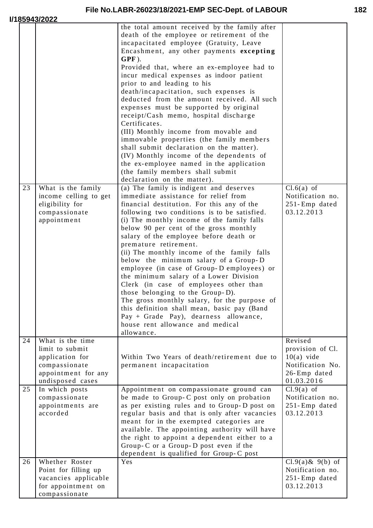|    |                                                                                                       | the total amount received by the family after<br>death of the employee or retirement of the<br>incapacitated employee (Gratuity, Leave<br>Encashment, any other payments excepting<br>$GPF$ ).<br>Provided that, where an ex-employee had to<br>incur medical expenses as indoor patient<br>prior to and leading to his<br>death/incapacitation, such expenses is<br>deducted from the amount received. All such<br>expenses must be supported by original<br>receipt/Cash memo, hospital discharge<br>Certificates.<br>(III) Monthly income from movable and<br>immovable properties (the family members<br>shall submit declaration on the matter).<br>(IV) Monthly income of the dependents of<br>the ex-employee named in the application<br>(the family members shall submit<br>declaration on the matter). |                                                                                    |
|----|-------------------------------------------------------------------------------------------------------|------------------------------------------------------------------------------------------------------------------------------------------------------------------------------------------------------------------------------------------------------------------------------------------------------------------------------------------------------------------------------------------------------------------------------------------------------------------------------------------------------------------------------------------------------------------------------------------------------------------------------------------------------------------------------------------------------------------------------------------------------------------------------------------------------------------|------------------------------------------------------------------------------------|
| 23 | What is the family                                                                                    | (a) The family is indigent and deserves                                                                                                                                                                                                                                                                                                                                                                                                                                                                                                                                                                                                                                                                                                                                                                          | $Cl.6(a)$ of                                                                       |
|    | income celling to get<br>eligibility for<br>compassionate<br>appointment                              | immediate assistance for relief from<br>financial destitution. For this any of the<br>following two conditions is to be satisfied.<br>(i) The monthly income of the family falls<br>below 90 per cent of the gross monthly<br>salary of the employee before death or<br>premature retirement.<br>(ii) The monthly income of the family falls<br>below the minimum salary of a Group-D<br>employee (in case of Group-D employees) or<br>the minimum salary of a Lower Division<br>Clerk (in case of employees other than<br>those belonging to the Group-D).<br>The gross monthly salary, for the purpose of<br>this definition shall mean, basic pay (Band<br>Pay + Grade Pay), dearness allowance,<br>house rent allowance and medical<br>allowance.                                                            | Notification no.<br>251-Emp dated<br>03.12.2013                                    |
| 24 | What is the time                                                                                      |                                                                                                                                                                                                                                                                                                                                                                                                                                                                                                                                                                                                                                                                                                                                                                                                                  | Revised                                                                            |
|    | limit to submit<br>application for<br>compassionate<br>appointment for any<br>undisposed cases        | Within Two Years of death/retirement due to<br>permanent incapacitation                                                                                                                                                                                                                                                                                                                                                                                                                                                                                                                                                                                                                                                                                                                                          | provision of Cl.<br>$10(a)$ vide<br>Notification No.<br>26-Emp dated<br>01.03.2016 |
| 25 | In which posts<br>compassionate<br>appointments are<br>accorded                                       | Appointment on compassionate ground can<br>be made to Group-C post only on probation<br>as per existing rules and to Group-D post on<br>regular basis and that is only after vacancies<br>meant for in the exempted categories are<br>available. The appointing authority will have<br>the right to appoint a dependent either to a<br>Group-C or a Group-D post even if the<br>dependent is qualified for Group-C post                                                                                                                                                                                                                                                                                                                                                                                          | $Cl.9(a)$ of<br>Notification no.<br>251-Emp dated<br>03.12.2013                    |
| 26 | Whether Roster<br>Point for filling up<br>vacancies applicable<br>for appointment on<br>compassionate | Yes                                                                                                                                                                                                                                                                                                                                                                                                                                                                                                                                                                                                                                                                                                                                                                                                              | $Cl.9(a)$ & 9(b) of<br>Notification no.<br>251-Emp dated<br>03.12.2013             |